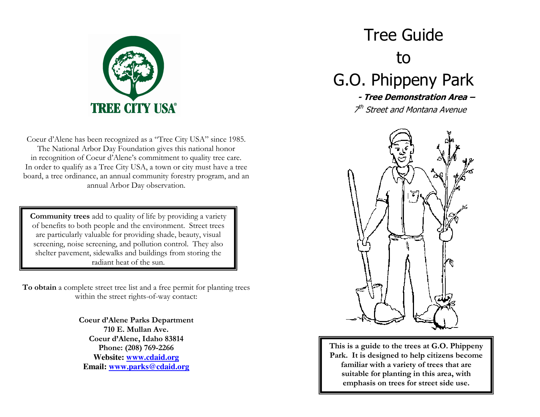

Coeur d'Alene has been recognized as a "Tree City USA" since 1985. The National Arbor Day Foundation gives this national honor in recognition of Coeur d'Alene's commitment to quality tree care. In order to qualify as a Tree City USA, a town or city must have a tree board, a tree ordinance, an annual community forestry program, and an annual Arbor Day observation.

**Community trees** add to quality of life by providing a variety of benefits to both people and the environment. Street trees are particularly valuable for providing shade, beauty, visual screening, noise screening, and pollution control. They also shelter payement, sidewalks and buildings from storing the radiant heat of the sun.

To obtain a complete street tree list and a free permit for planting trees within the street rights-of-way contact:

> **Coeur d'Alene Parks Department** 710 E. Mullan Ave. Coeur d'Alene, Idaho 83814 Phone: (208) 769-2266 **Website: www.cdaid.org** Email: www.parks@cdaid.org

# **Tree Guide** to G.O. Phippeny Park

- Tree Demonstration Area -<sup>th</sup> Street and Montana Avenue



This is a guide to the trees at G.O. Phippeny Park. It is designed to help citizens become familiar with a variety of trees that are suitable for planting in this area, with emphasis on trees for street side use.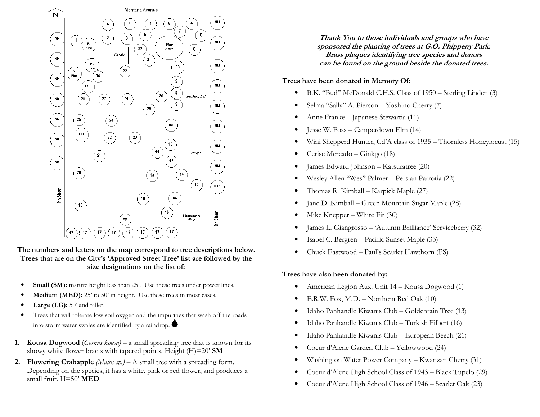

The numbers and letters on the map correspond to tree descriptions below. Trees that are on the City's 'Approved Street Tree' list are followed by the size designations on the list of:

- Small (SM): mature height less than 25'. Use these trees under power lines.
- Medium (MED): 25' to 50' in height. Use these trees in most cases.
- Large  $(LG)$ : 50' and taller.
- Trees that will tolerate low soil oxygen and the impurities that wash off the roads into storm water swales are identified by a raindrop.
- 1. Kousa Dogwood (Cornus kousa) a small spreading tree that is known for its showy white flower bracts with tapered points. Height (H)=20' SM
- 2. Flowering Crabapple (Malus  $sp.$ ) A small tree with a spreading form. Depending on the species, it has a white, pink or red flower, and produces a small fruit. H=50' MED

Thank You to those individuals and groups who have sponsored the planting of trees at G.O. Phippeny Park. Brass plaques identifying tree species and donors can be found on the ground beside the donated trees.

### Trees have been donated in Memory Of:

- B.K. "Bud" McDonald C.H.S. Class of 1950 Sterling Linden (3)  $\bullet$
- Selma "Sally" A. Pierson Yoshino Cherry (7)  $\bullet$
- Anne Franke Japanese Stewartia (11)
- Jesse W. Foss Camperdown Elm (14)
- Wini Shepperd Hunter, Cd'A class of 1935 Thornless Honeylocust (15)
- Cerise Mercado Ginkgo (18)
- James Edward Johnson Katsuratree (20)  $\bullet$
- Wesley Allen "Wes" Palmer Persian Parrotia (22)
- Thomas R. Kimball Karpick Maple (27)
- Jane D. Kimball Green Mountain Sugar Maple (28)
- Mike Knepper White Fir  $(30)$
- James L. Giangrosso 'Autumn Brilliance' Serviceberry (32)  $\bullet$
- Isabel C. Bergren Pacific Sunset Maple (33)
- Chuck Eastwood Paul's Scarlet Hawthorn (PS)

#### Trees have also been donated by:

- American Legion Aux. Unit 14 Kousa Dogwood (1)  $\bullet$
- E.R.W. Fox, M.D. Northern Red Oak (10)
- $\bullet$ Idaho Panhandle Kiwanis Club – Goldenrain Tree (13)
- Idaho Panhandle Kiwanis Club Turkish Filbert (16)
- Idaho Panhandle Kiwanis Club European Beech (21)
- Coeur d'Alene Garden Club Yellowwood (24)
- Washington Water Power Company Kwanzan Cherry (31)
- Coeur d'Alene High School Class of 1943 Black Tupelo (29)  $\bullet$
- Coeur d'Alene High School Class of 1946 Scarlet Oak (23)  $\bullet$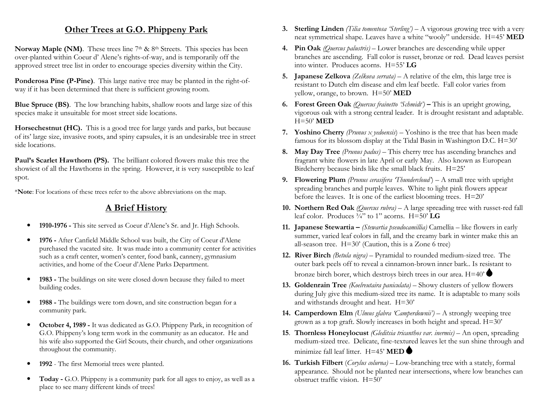## Other Trees at G.O. Phippeny Park

Norway Maple (NM). These trees line 7<sup>th</sup> & 8<sup>th</sup> Streets. This species has been over-planted within Coeur d' Alene's rights-of-way, and is temporarily off the approved street tree list in order to encourage species diversity within the City.

Ponderosa Pine (P-Pine). This large native tree may be planted in the right-ofway if it has been determined that there is sufficient growing room.

**Blue Spruce (BS).** The low branching habits, shallow roots and large size of this species make it unsuitable for most street side locations.

Horsechestnut (HC). This is a good tree for large yards and parks, but because of its' large size, invasive roots, and spiny capsules, it is an undesirable tree in street side locations.

Paul's Scarlet Hawthorn (PS). The brilliant colored flowers make this tree the showiest of all the Hawthorns in the spring. However, it is very susceptible to leaf spot.

\*Note: For locations of these trees refer to the above abbreviations on the map.

## **A Brief History**

- 1910-1976 This site served as Coeur d'Alene's Sr. and Jr. High Schools.
- 1976 After Canfield Middle School was built, the City of Coeur d'Alene  $\bullet$ purchased the vacated site. It was made into a community center for activities such as a craft center, women's center, food bank, cannery, gymnasium activities, and home of the Coeur d'Alene Parks Department.
- 1983 The buildings on site were closed down because they failed to meet  $\bullet$ building codes.
- 1988 The buildings were torn down, and site construction began for a community park.
- October 4, 1989 It was dedicated as G.O. Phippeny Park, in recognition of  $\bullet$ G.O. Phippeny's long term work in the community as an educator. He and his wife also supported the Girl Scouts, their church, and other organizations throughout the community.
- 1992 The first Memorial trees were planted.
- Today G.O. Phippeny is a community park for all ages to enjoy, as well as a place to see many different kinds of trees!
- 3. Sterling Linden (Tilia tomentosa 'Sterling') A vigorous growing tree with a very neat symmetrical shape. Leaves have a white "wooly" underside. H=45' MED
- 4. Pin Oak (Quercus palustris) Lower branches are descending while upper branches are ascending. Fall color is russet, bronze or red. Dead leaves persist into winter. Produces acorns.  $H = 55$ <sup>2</sup> LG
- 5. Japanese Zelkova (Zelkova serrata) A relative of the elm, this large tree is resistant to Dutch elm disease and elm leaf beetle. Fall color varies from yellow, orange, to brown.  $H=50'$  MED
- 6. Forest Green Oak (Ouercus frainetto 'Schmidt') This is an upright growing, vigorous oak with a strong central leader. It is drought resistant and adaptable.  $H=50'$  MED
- **7.** Yoshino Cherry (*Prunus x yedoensis*) Yoshino is the tree that has been made famous for its blossom display at the Tidal Basin in Washington D.C. H=30'
- 8. May Day Tree (Prunus padus) This cherry tree has ascending branches and fragrant white flowers in late April or early May. Also known as European Birdcherry because birds like the small black fruits. H=25'
- 9. Flowering Plum (Prunus cerasifera 'Thundercloud') A small tree with upright spreading branches and purple leaves. White to light pink flowers appear before the leaves. It is one of the earliest blooming trees.  $H=20'$
- 10. Northern Red Oak (Quercus rubra) A large spreading tree with russet-red fall leaf color. Produces  $\frac{3}{4}$ " to 1" acorns. H=50' LG
- 11. Japanese Stewartia (Stewartia pseudocamillia) Camellia like flowers in early summer, varied leaf colors in fall, and the creamy bark in winter make this an all-season tree.  $H=30'$  (Caution, this is a Zone 6 tree)
- 12. River Birch (Betula nigra) Pyramidal to rounded medium-sized tree. The outer bark peels off to reveal a cinnamon-brown inner bark. Is resistant to bronze birch borer, which destroys birch trees in our area.  $H=40^{\circ}$
- 13. Goldenrain Tree (Koelreutaira paniculata) Showy clusters of yellow flowers during July give this medium-sized tree its name. It is adaptable to many soils and withstands drought and heat. H=30'
- 14. Camperdown Elm (Ulmus glabra 'Camperdownii') A strongly weeping tree grown as a top graft. Slowly increases in both height and spread. H=30'
- 15. Thornless Honeylocust (Gleditsia tricanthos var. inermis) An open, spreading medium-sized tree. Delicate, fine-textured leaves let the sun shine through and minimize fall leaf litter  $H=45$ ' MED
- 16. Turkish Filbert (Corylus colurna) Low-branching tree with a stately, formal appearance. Should not be planted near intersections, where low branches can obstruct traffic vision. H=50'